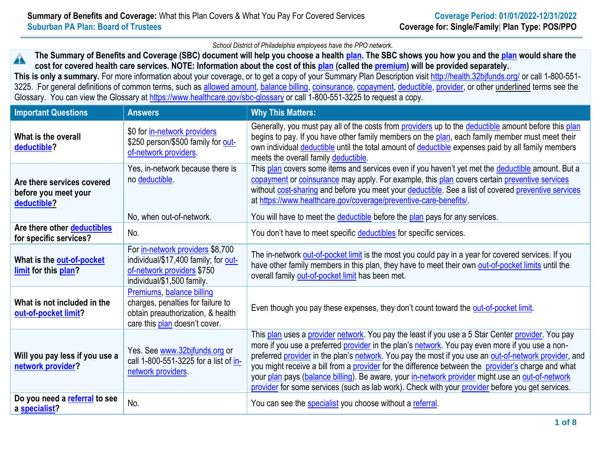*School District of Philadelphia employees have the PPO network.*

**The Summary of Benefits and Coverage (SBC) document will help you choose a health [plan.](https://www.healthcare.gov/sbc-glossary/#plan) The SBC shows you how you and the [plan](https://www.healthcare.gov/sbc-glossary/#plan) would share the**  AN **cost for covered health care services. NOTE: Information about the cost of this [plan](https://www.healthcare.gov/sbc-glossary/#plan) (called the [premium\)](https://www.healthcare.gov/sbc-glossary/#premium) will be provided separately.**

**This is only a summary.** For more information about your coverage, or to get a copy of your Summary Plan Description visit<http://health.32bjfunds.org/> or call 1-800-551 3225. For general definitions of common terms, such as [allowed amount,](https://www.healthcare.gov/sbc-glossary/#allowed-amount) [balance billing,](https://www.healthcare.gov/sbc-glossary/#balance-billing) [coinsurance,](https://www.healthcare.gov/sbc-glossary/#coinsurance) [copayment,](https://www.healthcare.gov/sbc-glossary/#copayment) [deductible,](https://www.healthcare.gov/sbc-glossary/#deductible) [provider,](https://www.healthcare.gov/sbc-glossary/#provider) or other underlined terms see the Glossary. You can view the Glossary at<https://www.healthcare.gov/sbc-glossary> or call 1-800-551-3225 to request a copy.

| <b>Important Questions</b>                                        | <b>Answers</b>                                                                                                                       | <b>Why This Matters:</b>                                                                                                                                                                                                                                                                                                                                                                                                                                                                                                                                                                                                    |
|-------------------------------------------------------------------|--------------------------------------------------------------------------------------------------------------------------------------|-----------------------------------------------------------------------------------------------------------------------------------------------------------------------------------------------------------------------------------------------------------------------------------------------------------------------------------------------------------------------------------------------------------------------------------------------------------------------------------------------------------------------------------------------------------------------------------------------------------------------------|
| What is the overall<br>deductible?                                | \$0 for in-network providers<br>\$250 person/\$500 family for out-<br>of-network providers.                                          | Generally, you must pay all of the costs from providers up to the deductible amount before this plan<br>begins to pay. If you have other family members on the plan, each family member must meet their<br>own individual deductible until the total amount of deductible expenses paid by all family members<br>meets the overall family deductible.                                                                                                                                                                                                                                                                       |
| Are there services covered<br>before you meet your<br>deductible? | Yes, in-network because there is<br>no deductible<br>No, when out-of-network.                                                        | This plan covers some items and services even if you haven't yet met the deductible amount. But a<br>copayment or coinsurance may apply. For example, this plan covers certain preventive services<br>without cost-sharing and before you meet your deductible. See a list of covered preventive services<br>at https://www.healthcare.gov/coverage/preventive-care-benefits/<br>You will have to meet the deductible before the plan pays for any services.                                                                                                                                                                |
| Are there other deductibles<br>for specific services?             | No.                                                                                                                                  | You don't have to meet specific deductibles for specific services.                                                                                                                                                                                                                                                                                                                                                                                                                                                                                                                                                          |
| What is the out-of-pocket<br>limit for this plan?                 | For in-network providers \$8,700<br>individual/\$17,400 family; for out-<br>of-network providers \$750<br>individual/\$1,500 family. | The in-network out-of-pocket limit is the most you could pay in a year for covered services. If you<br>have other family members in this plan, they have to meet their own out-of-pocket limits until the<br>overall family out-of-pocket limit has been met.                                                                                                                                                                                                                                                                                                                                                               |
| What is not included in the<br>out-of-pocket limit?               | Premiums, balance billing<br>charges, penalties for failure to<br>obtain preauthorization, & health<br>care this plan doesn't cover. | Even though you pay these expenses, they don't count toward the out-of-pocket limit.                                                                                                                                                                                                                                                                                                                                                                                                                                                                                                                                        |
| Will you pay less if you use a<br>network provider?               | Yes. See www.32bjfunds.org or<br>call 1-800-551-3225 for a list of in-<br>network providers.                                         | This plan uses a provider network. You pay the least if you use a 5 Star Center provider. You pay<br>more if you use a preferred provider in the plan's network. You pay even more if you use a non-<br>preferred provider in the plan's network. You pay the most if you use an out-of-network provider, and<br>you might receive a bill from a provider for the difference between the provider's charge and what<br>your plan pays (balance billing). Be aware, your in-network provider might use an out-of-network<br>provider for some services (such as lab work). Check with your provider before you get services. |
| Do you need a referral to see<br>a specialist?                    | No.                                                                                                                                  | You can see the specialist you choose without a referral.                                                                                                                                                                                                                                                                                                                                                                                                                                                                                                                                                                   |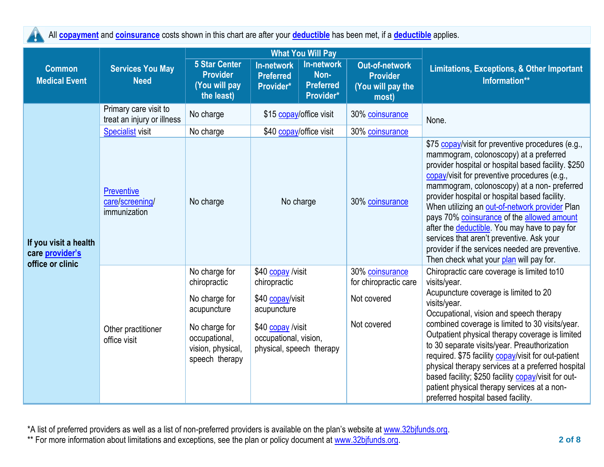All **[copayment](https://www.healthcare.gov/sbc-glossary/#copayment)** and **[coinsurance](https://www.healthcare.gov/sbc-glossary/#coinsurance)** costs shown in this chart are after your **[deductible](https://www.healthcare.gov/sbc-glossary/#deductible)** has been met, if a **[deductible](https://www.healthcare.gov/sbc-glossary/#deductible)** applies. Ţ

|                                                              |                                                      |                                                                        | <b>What You Will Pay</b>                                                                                                                       |                                                            |                                                                 |                                                                                                                                                                                                                                                                                                                                                                                                                                                                                                                                                                                                |
|--------------------------------------------------------------|------------------------------------------------------|------------------------------------------------------------------------|------------------------------------------------------------------------------------------------------------------------------------------------|------------------------------------------------------------|-----------------------------------------------------------------|------------------------------------------------------------------------------------------------------------------------------------------------------------------------------------------------------------------------------------------------------------------------------------------------------------------------------------------------------------------------------------------------------------------------------------------------------------------------------------------------------------------------------------------------------------------------------------------------|
| <b>Common</b><br><b>Medical Event</b>                        | <b>Services You May</b><br><b>Need</b>               | <b>5 Star Center</b><br><b>Provider</b><br>(You will pay<br>the least) | In-network<br><b>Preferred</b><br>Provider*                                                                                                    | <b>In-network</b><br>Non-<br><b>Preferred</b><br>Provider* | Out-of-network<br><b>Provider</b><br>(You will pay the<br>most) | Limitations, Exceptions, & Other Important<br>Information**                                                                                                                                                                                                                                                                                                                                                                                                                                                                                                                                    |
|                                                              | Primary care visit to<br>treat an injury or illness  | No charge                                                              | \$15 copay/office visit                                                                                                                        |                                                            | 30% coinsurance                                                 | None.                                                                                                                                                                                                                                                                                                                                                                                                                                                                                                                                                                                          |
|                                                              | <b>Specialist visit</b>                              | No charge                                                              | \$40 copay/office visit                                                                                                                        |                                                            | 30% coinsurance                                                 |                                                                                                                                                                                                                                                                                                                                                                                                                                                                                                                                                                                                |
| If you visit a health<br>care provider's<br>office or clinic | <b>Preventive</b><br>care/screening/<br>immunization | No charge                                                              | No charge                                                                                                                                      |                                                            | 30% coinsurance                                                 | \$75 copay/visit for preventive procedures (e.g.,<br>mammogram, colonoscopy) at a preferred<br>provider hospital or hospital based facility. \$250<br>copay/visit for preventive procedures (e.g.,<br>mammogram, colonoscopy) at a non- preferred<br>provider hospital or hospital based facility.<br>When utilizing an out-of-network provider Plan<br>pays 70% coinsurance of the allowed amount<br>after the deductible. You may have to pay for<br>services that aren't preventive. Ask your<br>provider if the services needed are preventive.<br>Then check what your plan will pay for. |
|                                                              |                                                      | No charge for<br>chiropractic                                          | \$40 copay /visit<br>chiropractic<br>\$40 copay/visit<br>acupuncture<br>\$40 copay /visit<br>occupational, vision,<br>physical, speech therapy |                                                            | 30% coinsurance<br>for chiropractic care                        | Chiropractic care coverage is limited to 10<br>visits/year.<br>Acupuncture coverage is limited to 20<br>visits/year.<br>Occupational, vision and speech therapy                                                                                                                                                                                                                                                                                                                                                                                                                                |
|                                                              |                                                      | No charge for<br>acupuncture                                           |                                                                                                                                                |                                                            | Not covered                                                     |                                                                                                                                                                                                                                                                                                                                                                                                                                                                                                                                                                                                |
|                                                              | Other practitioner<br>office visit                   | No charge for<br>occupational,<br>vision, physical,<br>speech therapy  |                                                                                                                                                |                                                            | Not covered                                                     | combined coverage is limited to 30 visits/year.<br>Outpatient physical therapy coverage is limited<br>to 30 separate visits/year. Preauthorization<br>required. \$75 facility copay/visit for out-patient<br>physical therapy services at a preferred hospital<br>based facility; \$250 facility copay/visit for out-<br>patient physical therapy services at a non-<br>preferred hospital based facility.                                                                                                                                                                                     |

\*A list of preferred providers as well as a list of non-preferred providers is available on the plan's website at [www.32bjfunds.org.](http://www.32bjfunds.org/)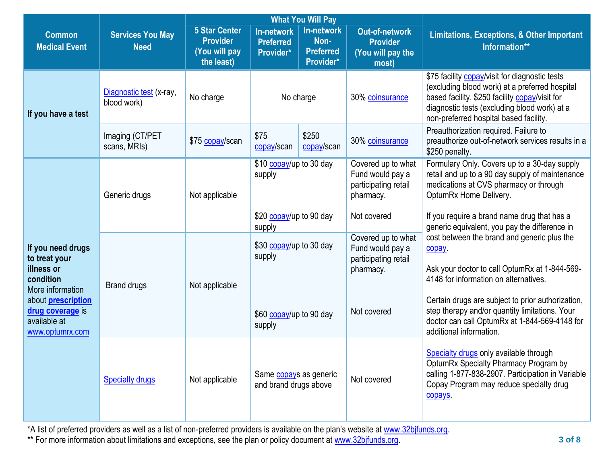|                                                                                   |                                        |                                                                        |                                                                                                             | <b>What You Will Pay</b>                            |                                                                                            |                                                                                                                                                                                                                                              |
|-----------------------------------------------------------------------------------|----------------------------------------|------------------------------------------------------------------------|-------------------------------------------------------------------------------------------------------------|-----------------------------------------------------|--------------------------------------------------------------------------------------------|----------------------------------------------------------------------------------------------------------------------------------------------------------------------------------------------------------------------------------------------|
| <b>Common</b><br><b>Medical Event</b>                                             | <b>Services You May</b><br><b>Need</b> | <b>5 Star Center</b><br><b>Provider</b><br>(You will pay<br>the least) | <b>In-network</b><br><b>Preferred</b><br>Provider*                                                          | In-network<br>Non-<br><b>Preferred</b><br>Provider* | <b>Out-of-network</b><br><b>Provider</b><br>(You will pay the<br>most)                     | <b>Limitations, Exceptions, &amp; Other Important</b><br>Information**                                                                                                                                                                       |
| If you have a test                                                                | Diagnostic test (x-ray,<br>blood work) | No charge                                                              | No charge                                                                                                   |                                                     | 30% coinsurance                                                                            | \$75 facility copay/visit for diagnostic tests<br>(excluding blood work) at a preferred hospital<br>based facility. \$250 facility copay/visit for<br>diagnostic tests (excluding blood work) at a<br>non-preferred hospital based facility. |
|                                                                                   | Imaging (CT/PET<br>scans, MRIs)        | \$75 copay/scan                                                        | \$75<br>copay/scan                                                                                          | \$250<br>copay/scan                                 | 30% coinsurance                                                                            | Preauthorization required. Failure to<br>preauthorize out-of-network services results in a<br>\$250 penalty.                                                                                                                                 |
|                                                                                   | Generic drugs                          | Not applicable                                                         | \$10 copay/up to 30 day<br>supply<br>\$20 copay/up to 90 day<br>supply<br>\$30 copay/up to 30 day<br>supply |                                                     | Covered up to what<br>Fund would pay a<br>participating retail<br>pharmacy.<br>Not covered | Formulary Only. Covers up to a 30-day supply<br>retail and up to a 90 day supply of maintenance<br>medications at CVS pharmacy or through<br>OptumRx Home Delivery.<br>If you require a brand name drug that has a                           |
| If you need drugs<br>to treat your<br>illness or<br>condition<br>More information | <b>Brand drugs</b>                     | Not applicable                                                         |                                                                                                             |                                                     | Covered up to what<br>Fund would pay a<br>participating retail<br>pharmacy.                | generic equivalent, you pay the difference in<br>cost between the brand and generic plus the<br><b>copay</b><br>Ask your doctor to call OptumRx at 1-844-569-<br>4148 for information on alternatives.                                       |
| about <b>prescription</b><br>drug coverage is<br>available at<br>www.optumrx.com  |                                        |                                                                        | \$60 copay/up to 90 day<br>supply                                                                           |                                                     | Not covered                                                                                | Certain drugs are subject to prior authorization,<br>step therapy and/or quantity limitations. Your<br>doctor can call OptumRx at 1-844-569-4148 for<br>additional information.                                                              |
|                                                                                   | <b>Specialty drugs</b>                 | Not applicable                                                         | Same copays as generic<br>and brand drugs above                                                             |                                                     | Not covered                                                                                | Specialty drugs only available through<br>OptumRx Specialty Pharmacy Program by<br>calling 1-877-838-2907. Participation in Variable<br>Copay Program may reduce specialty drug<br>copays                                                    |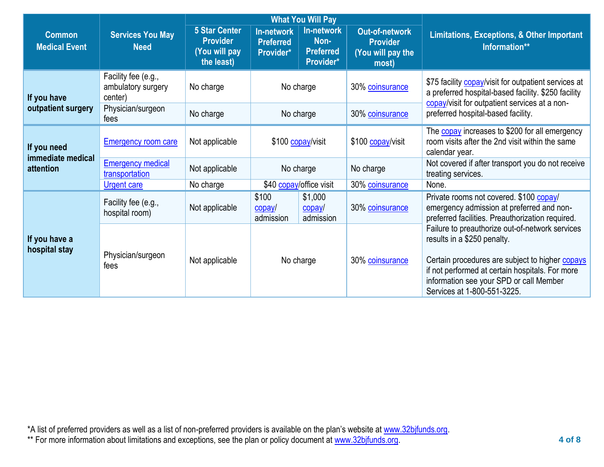|                                       |                                                      | <b>What You Will Pay</b>                                               |                                             |                                                            |                                                                 |                                                                                                                                                                                                                                                                |
|---------------------------------------|------------------------------------------------------|------------------------------------------------------------------------|---------------------------------------------|------------------------------------------------------------|-----------------------------------------------------------------|----------------------------------------------------------------------------------------------------------------------------------------------------------------------------------------------------------------------------------------------------------------|
| <b>Common</b><br><b>Medical Event</b> | <b>Services You May</b><br><b>Need</b>               | <b>5 Star Center</b><br><b>Provider</b><br>(You will pay<br>the least) | In-network<br><b>Preferred</b><br>Provider* | <b>In-network</b><br>Non-<br><b>Preferred</b><br>Provider* | Out-of-network<br><b>Provider</b><br>(You will pay the<br>most) | Limitations, Exceptions, & Other Important<br>Information**                                                                                                                                                                                                    |
| If you have                           | Facility fee (e.g.,<br>ambulatory surgery<br>center) | No charge                                                              | No charge                                   |                                                            | 30% coinsurance                                                 | \$75 facility copay/visit for outpatient services at<br>a preferred hospital-based facility. \$250 facility<br>copay/visit for outpatient services at a non-                                                                                                   |
| outpatient surgery                    | Physician/surgeon<br>No charge<br>No charge<br>fees  |                                                                        |                                             | 30% coinsurance                                            | preferred hospital-based facility.                              |                                                                                                                                                                                                                                                                |
| If you need<br>immediate medical      | <b>Emergency room care</b>                           | Not applicable                                                         | \$100 copay/visit                           |                                                            | \$100 copay/visit                                               | The copay increases to \$200 for all emergency<br>room visits after the 2nd visit within the same<br>calendar year.                                                                                                                                            |
| attention                             | <b>Emergency medical</b><br>transportation           | Not applicable                                                         | No charge                                   |                                                            | No charge                                                       | Not covered if after transport you do not receive<br>treating services.                                                                                                                                                                                        |
|                                       | <b>Urgent care</b>                                   | No charge                                                              |                                             | \$40 copay/office visit                                    | 30% coinsurance                                                 | None.                                                                                                                                                                                                                                                          |
|                                       | Facility fee (e.g.,<br>hospital room)                | Not applicable                                                         | \$100<br>copay/<br>admission                | \$1,000<br>copay/<br>admission                             | 30% coinsurance                                                 | Private rooms not covered. \$100 copay/<br>emergency admission at preferred and non-<br>preferred facilities. Preauthorization required.                                                                                                                       |
| If you have a<br>hospital stay        | Physician/surgeon<br>fees                            | Not applicable                                                         | No charge                                   |                                                            | 30% coinsurance                                                 | Failure to preauthorize out-of-network services<br>results in a \$250 penalty.<br>Certain procedures are subject to higher copays<br>if not performed at certain hospitals. For more<br>information see your SPD or call Member<br>Services at 1-800-551-3225. |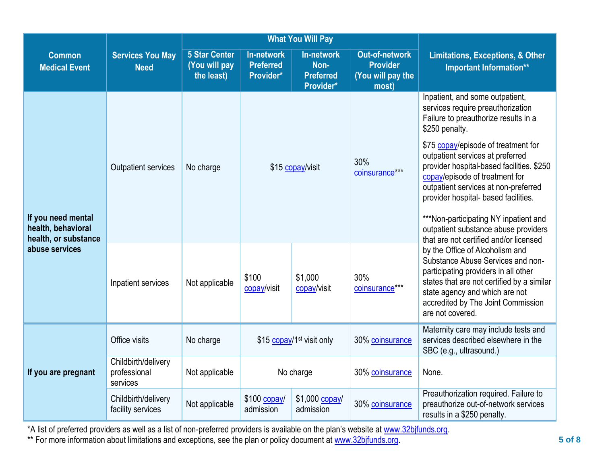|                                                                  |                                                                                |                                                     | <b>What You Will Pay</b>                           |                                                                                                                                                                                                                                                        |                                                                                                                                                                                                                                                        |                                                                                                                                                                                                                                           |
|------------------------------------------------------------------|--------------------------------------------------------------------------------|-----------------------------------------------------|----------------------------------------------------|--------------------------------------------------------------------------------------------------------------------------------------------------------------------------------------------------------------------------------------------------------|--------------------------------------------------------------------------------------------------------------------------------------------------------------------------------------------------------------------------------------------------------|-------------------------------------------------------------------------------------------------------------------------------------------------------------------------------------------------------------------------------------------|
| <b>Common</b><br><b>Medical Event</b>                            | <b>Services You May</b><br><b>Need</b>                                         | <b>5 Star Center</b><br>(You will pay<br>the least) | <b>In-network</b><br><b>Preferred</b><br>Provider* | In-network<br>Non-<br><b>Preferred</b><br>Provider*                                                                                                                                                                                                    | <b>Out-of-network</b><br><b>Provider</b><br>(You will pay the<br>most)                                                                                                                                                                                 | <b>Limitations, Exceptions, &amp; Other</b><br><b>Important Information**</b>                                                                                                                                                             |
|                                                                  | Outpatient services                                                            | \$15 copay/visit<br>No charge                       |                                                    | 30%<br>coinsurance***                                                                                                                                                                                                                                  | Inpatient, and some outpatient,<br>services require preauthorization<br>Failure to preauthorize results in a<br>\$250 penalty.<br>\$75 copay/episode of treatment for<br>outpatient services at preferred<br>provider hospital-based facilities. \$250 |                                                                                                                                                                                                                                           |
| If you need mental<br>health, behavioral<br>health, or substance |                                                                                |                                                     |                                                    |                                                                                                                                                                                                                                                        |                                                                                                                                                                                                                                                        | copay/episode of treatment for<br>outpatient services at non-preferred<br>provider hospital- based facilities.<br>***Non-participating NY inpatient and<br>outpatient substance abuse providers<br>that are not certified and/or licensed |
|                                                                  | abuse services<br>\$100<br>Not applicable<br>Inpatient services<br>copay/visit | \$1,000<br>copay/visit                              | 30%<br>coinsurance***                              | by the Office of Alcoholism and<br>Substance Abuse Services and non-<br>participating providers in all other<br>states that are not certified by a similar<br>state agency and which are not<br>accredited by The Joint Commission<br>are not covered. |                                                                                                                                                                                                                                                        |                                                                                                                                                                                                                                           |
|                                                                  | Office visits                                                                  | No charge                                           | \$15 copay/1 <sup>st</sup> visit only              |                                                                                                                                                                                                                                                        | 30% coinsurance                                                                                                                                                                                                                                        | Maternity care may include tests and<br>services described elsewhere in the<br>SBC (e.g., ultrasound.)                                                                                                                                    |
| If you are pregnant                                              | Childbirth/delivery<br>professional<br>services                                | Not applicable                                      | No charge                                          |                                                                                                                                                                                                                                                        | 30% coinsurance                                                                                                                                                                                                                                        | None.                                                                                                                                                                                                                                     |
|                                                                  | Childbirth/delivery<br>facility services                                       | Not applicable                                      | \$100 copay/<br>admission                          | \$1,000 copay/<br>admission                                                                                                                                                                                                                            | 30% coinsurance                                                                                                                                                                                                                                        | Preauthorization required. Failure to<br>preauthorize out-of-network services<br>results in a \$250 penalty.                                                                                                                              |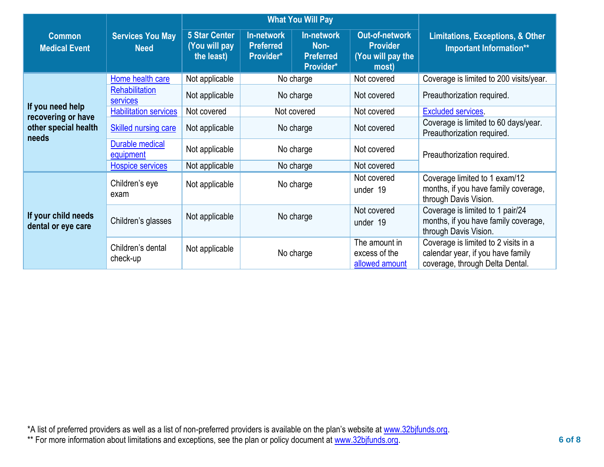|                                            |                                                                    |                                                     |                                             | <b>What You Will Pay</b>                     |                                                                 |                                                                                                              |  |
|--------------------------------------------|--------------------------------------------------------------------|-----------------------------------------------------|---------------------------------------------|----------------------------------------------|-----------------------------------------------------------------|--------------------------------------------------------------------------------------------------------------|--|
| <b>Common</b><br><b>Medical Event</b>      | <b>Services You May</b><br><b>Need</b>                             | <b>5 Star Center</b><br>(You will pay<br>the least) | In-network<br><b>Preferred</b><br>Provider* | In-network<br>Non-<br>Preferred<br>Provider* | Out-of-network<br><b>Provider</b><br>(You will pay the<br>most) | <b>Limitations, Exceptions, &amp; Other</b><br>Important Information**                                       |  |
|                                            | Home health care                                                   | Not applicable                                      |                                             | No charge                                    | Not covered                                                     | Coverage is limited to 200 visits/year.                                                                      |  |
|                                            | Rehabilitation<br><b>services</b>                                  | Not applicable                                      | No charge                                   |                                              | Not covered                                                     | Preauthorization required.                                                                                   |  |
| If you need help                           | <b>Habilitation services</b>                                       | Not covered                                         | Not covered                                 |                                              | Not covered                                                     | <b>Excluded services.</b>                                                                                    |  |
| recovering or have<br>other special health | <b>Skilled nursing care</b>                                        | Not applicable                                      | No charge                                   |                                              | Not covered                                                     | Coverage is limited to 60 days/year.<br>Preauthorization required.                                           |  |
| needs                                      | <b>Durable medical</b><br>Not applicable<br>No charge<br>equipment |                                                     |                                             | Not covered                                  | Preauthorization required.                                      |                                                                                                              |  |
|                                            | <b>Hospice services</b>                                            | Not applicable                                      | No charge                                   |                                              | Not covered                                                     |                                                                                                              |  |
|                                            | Children's eye<br>exam                                             | Not applicable                                      |                                             | No charge                                    | Not covered<br>under 19                                         | Coverage limited to 1 exam/12<br>months, if you have family coverage,<br>through Davis Vision.               |  |
| If your child needs<br>dental or eye care  | Children's glasses                                                 | Not applicable                                      | No charge                                   |                                              | Not covered<br>under 19                                         | Coverage is limited to 1 pair/24<br>months, if you have family coverage,<br>through Davis Vision.            |  |
|                                            | Children's dental<br>check-up                                      | Not applicable                                      |                                             | No charge                                    | The amount in<br>excess of the<br>allowed amount                | Coverage is limited to 2 visits in a<br>calendar year, if you have family<br>coverage, through Delta Dental. |  |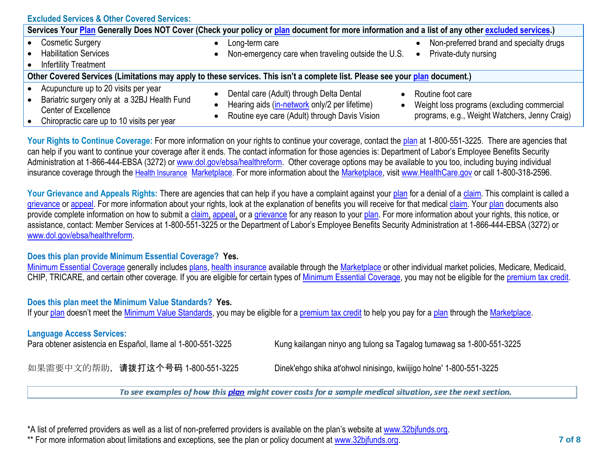| <b>Excluded Services &amp; Other Covered Services:</b>                                                                                                     |                                                                                                                                            |                                                                                                                  |
|------------------------------------------------------------------------------------------------------------------------------------------------------------|--------------------------------------------------------------------------------------------------------------------------------------------|------------------------------------------------------------------------------------------------------------------|
| Services Your Plan Generally Does NOT Cover (Check your policy or plan document for more information and a list of any other excluded services.)           |                                                                                                                                            |                                                                                                                  |
| <b>Cosmetic Surgery</b><br><b>Habilitation Services</b><br><b>Infertility Treatment</b>                                                                    | Long-term care<br>Non-emergency care when traveling outside the U.S.                                                                       | Non-preferred brand and specialty drugs<br>Private-duty nursing                                                  |
| Other Covered Services (Limitations may apply to these services. This isn't a complete list. Please see your plan document.)                               |                                                                                                                                            |                                                                                                                  |
| Acupuncture up to 20 visits per year<br>Bariatric surgery only at a 32BJ Health Fund<br>Center of Excellence<br>Chiropractic care up to 10 visits per year | Dental care (Adult) through Delta Dental<br>Hearing aids (in-network only/2 per lifetime)<br>Routine eye care (Adult) through Davis Vision | Routine foot care<br>Weight loss programs (excluding commercial<br>programs, e.g., Weight Watchers, Jenny Craig) |
|                                                                                                                                                            |                                                                                                                                            |                                                                                                                  |

Your Rights to Continue Coverage: For more information on your rights to continue your coverage, contact the [plan](https://www.healthcare.gov/sbc-glossary/#plan) at 1-800-551-3225. There are agencies that can help if you want to continue your coverage after it ends. The contact information for those agencies is: Department of Labor's Employee Benefits Security Administration at 1-866-444-EBSA (3272) or [www.dol.gov/ebsa/healthreform.](http://www.dol.gov/ebsa/healthreform) Other coverage options may be available to you too, including buying individual insurance coverage through the [Health Insurance](https://www.healthcare.gov/sbc-glossary/#health-insurance) [Marketplace.](https://www.healthcare.gov/sbc-glossary/#marketplace) For more information about the [Marketplace,](https://www.healthcare.gov/sbc-glossary/#marketplace) visit [www.HealthCare.gov](http://www.healthcare.gov/) or call 1-800-318-2596.

Your Grievance and Appeals Rights: There are agencies that can help if you have a complaint against your [plan](https://www.healthcare.gov/sbc-glossary/#plan) for a denial of a [claim.](https://www.healthcare.gov/sbc-glossary/#claim) This complaint is called a [grievance](https://www.healthcare.gov/sbc-glossary/#grievance) or [appeal.](https://www.healthcare.gov/sbc-glossary/#appeal) For more information about your rights, look at the explanation of benefits you will receive for that medical [claim.](https://www.healthcare.gov/sbc-glossary/#claim) Your [plan](https://www.healthcare.gov/sbc-glossary/#plan) documents also provide complete information on how to submit a [claim,](https://www.healthcare.gov/sbc-glossary/#claim) [appeal,](https://www.healthcare.gov/sbc-glossary/#appeal) or a [grievance](https://www.healthcare.gov/sbc-glossary/#grievance) for any reason to your [plan.](https://www.healthcare.gov/sbc-glossary/#plan) For more information about your rights, this notice, or assistance, contact: Member Services at 1-800-551-3225 or the Department of Labor's Employee Benefits Security Administration at 1-866-444-EBSA (3272) or [www.dol.gov/ebsa/healthreform.](http://www.dol.gov/ebsa/healthreform)

## **Does this plan provide Minimum Essential Coverage? Yes.**

[Minimum Essential Coverage](https://www.healthcare.gov/sbc-glossary/#minimum-essential-coverage) generally includes [plans,](https://www.healthcare.gov/sbc-glossary/#plan) [health insurance](https://www.healthcare.gov/sbc-glossary/#health-insurance) available through the [Marketplace](https://www.healthcare.gov/sbc-glossary/#marketplace) or other individual market policies, Medicare, Medicaid, CHIP, TRICARE, and certain other coverage. If you are eligible for certain types of [Minimum Essential Coverage,](https://www.healthcare.gov/sbc-glossary/#minimum-essential-coverage) you may not be eligible for the [premium tax credit.](https://www.healthcare.gov/sbc-glossary/#premium-tax-credits)

# **Does this plan meet the Minimum Value Standards? Yes.**

If your [plan](https://www.healthcare.gov/sbc-glossary/#plan) doesn't meet the [Minimum Value Standards,](https://www.healthcare.gov/sbc-glossary/#minimum-value-standard) you may be eligible for a [premium tax credit](https://www.healthcare.gov/sbc-glossary/#premium-tax-credits) to help you pay for a plan through the [Marketplace.](https://www.healthcare.gov/sbc-glossary/#marketplace)

## **Language Access Services:**

Para obtener asistencia en Español, llame al 1-800-551-3225 Kung kailangan ninyo ang tulong sa Tagalog tumawag sa 1-800-551-3225

如果需要中文的帮助,请拨打这个号码 1-800-551-3225 Dinek'ehgo shika at'ohwol ninisingo, kwiijigo holne' 1-800-551-3225

To see examples of how this plan might cover costs for a sample medical situation, see the next section.

\*A list of preferred providers as well as a list of non-preferred providers is available on the plan's website at [www.32bjfunds.org.](http://www.32bjfunds.org/)